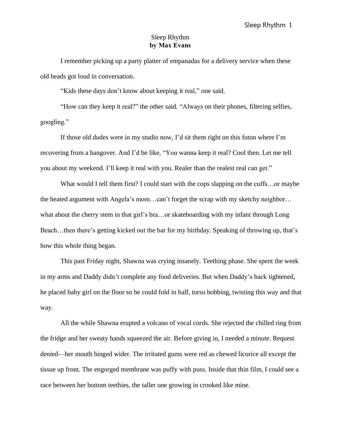## Sleep Rhythm **by Max Evans**

I remember picking up a party platter of empanadas for a delivery service when these old heads got loud in conversation.

"Kids these days don't know about keeping it real," one said.

"How can they keep it real?" the other said. "Always on their phones, filtering selfies, googling."

If those old dudes were in my studio now, I'd sit them right on this futon where I'm recovering from a hangover. And I'd be like, "You wanna keep it real? Cool then. Let me tell you about my weekend. I'll keep it real with you. Realer than the realest real can get."

What would I tell them first? I could start with the cops slapping on the cuffs...or maybe the heated argument with Angela's mom…can't forget the scrap with my sketchy neighbor… what about the cherry stem in that girl's bra…or skateboarding with my infant through Long Beach…then there's getting kicked out the bar for my birthday. Speaking of throwing up, that's how this whole thing began.

This past Friday night, Shawna was crying insanely. Teething phase. She spent the week in my arms and Daddy didn't complete any food deliveries. But when Daddy's back tightened, he placed baby girl on the floor so he could fold in half, torso bobbing, twisting this way and that way.

All the while Shawna erupted a volcano of vocal cords. She rejected the chilled ring from the fridge and her sweaty hands squeezed the air. Before giving in, I needed a minute. Request denied—her mouth hinged wider. The irritated gums were red as chewed licorice all except the tissue up front. The engorged membrane was puffy with puss. Inside that thin film, I could see a race between her bottom teethies, the taller one growing in crooked like mine.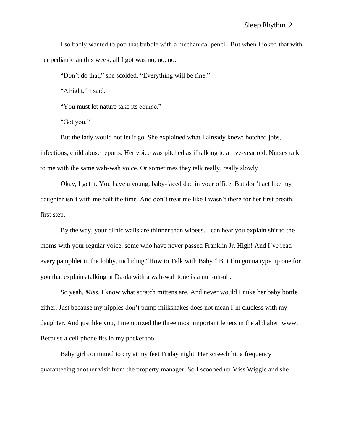I so badly wanted to pop that bubble with a mechanical pencil. But when I joked that with her pediatrician this week, all I got was no, no, no.

"Don't do that," she scolded. "Everything will be fine."

"Alright," I said.

"You must let nature take its course."

"Got you."

But the lady would not let it go. She explained what I already knew: botched jobs, infections, child abuse reports. Her voice was pitched as if talking to a five-year old. Nurses talk to me with the same wah-wah voice. Or sometimes they talk really, really slowly.

Okay, I get it. You have a young, baby-faced dad in your office. But don't act like my daughter isn't with me half the time. And don't treat me like I wasn't there for her first breath, first step.

By the way, your clinic walls are thinner than wipees. I can hear you explain shit to the moms with your regular voice, some who have never passed Franklin Jr. High! And I've read every pamphlet in the lobby, including "How to Talk with Baby." But I'm gonna type up one for you that explains talking at Da-da with a wah-wah tone is a nuh-uh-uh.

So yeah, *Miss*, I know what scratch mittens are. And never would I nuke her baby bottle either. Just because my nipples don't pump milkshakes does not mean I'm clueless with my daughter. And just like you, I memorized the three most important letters in the alphabet: www. Because a cell phone fits in my pocket too.

Baby girl continued to cry at my feet Friday night. Her screech hit a frequency guaranteeing another visit from the property manager. So I scooped up Miss Wiggle and she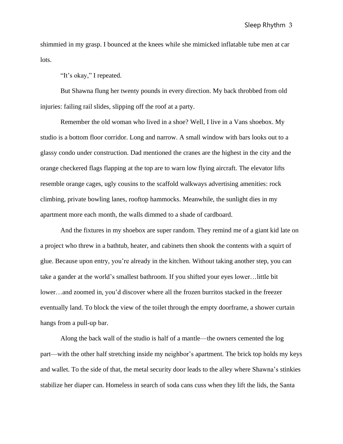shimmied in my grasp. I bounced at the knees while she mimicked inflatable tube men at car lots.

"It's okay," I repeated.

But Shawna flung her twenty pounds in every direction. My back throbbed from old injuries: failing rail slides, slipping off the roof at a party.

Remember the old woman who lived in a shoe? Well, I live in a Vans shoebox. My studio is a bottom floor corridor. Long and narrow. A small window with bars looks out to a glassy condo under construction. Dad mentioned the cranes are the highest in the city and the orange checkered flags flapping at the top are to warn low flying aircraft. The elevator lifts resemble orange cages, ugly cousins to the scaffold walkways advertising amenities: rock climbing, private bowling lanes, rooftop hammocks. Meanwhile, the sunlight dies in my apartment more each month, the walls dimmed to a shade of cardboard.

And the fixtures in my shoebox are super random. They remind me of a giant kid late on a project who threw in a bathtub, heater, and cabinets then shook the contents with a squirt of glue. Because upon entry, you're already in the kitchen. Without taking another step, you can take a gander at the world's smallest bathroom. If you shifted your eyes lower…little bit lower…and zoomed in, you'd discover where all the frozen burritos stacked in the freezer eventually land. To block the view of the toilet through the empty doorframe, a shower curtain hangs from a pull-up bar.

Along the back wall of the studio is half of a mantle—the owners cemented the log part—with the other half stretching inside my neighbor's apartment. The brick top holds my keys and wallet. To the side of that, the metal security door leads to the alley where Shawna's stinkies stabilize her diaper can. Homeless in search of soda cans cuss when they lift the lids, the Santa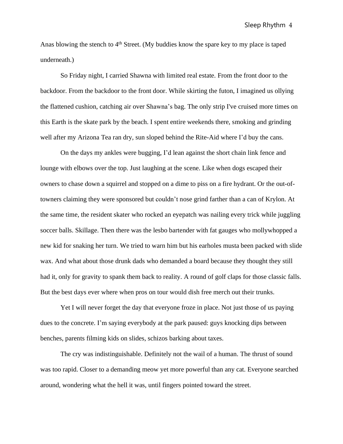Anas blowing the stench to 4<sup>th</sup> Street. (My buddies know the spare key to my place is taped underneath.)

So Friday night, I carried Shawna with limited real estate. From the front door to the backdoor. From the backdoor to the front door. While skirting the futon, I imagined us ollying the flattened cushion, catching air over Shawna's bag. The only strip I've cruised more times on this Earth is the skate park by the beach. I spent entire weekends there, smoking and grinding well after my Arizona Tea ran dry, sun sloped behind the Rite-Aid where I'd buy the cans.

On the days my ankles were bugging, I'd lean against the short chain link fence and lounge with elbows over the top. Just laughing at the scene. Like when dogs escaped their owners to chase down a squirrel and stopped on a dime to piss on a fire hydrant. Or the out-oftowners claiming they were sponsored but couldn't nose grind farther than a can of Krylon. At the same time, the resident skater who rocked an eyepatch was nailing every trick while juggling soccer balls. Skillage. Then there was the lesbo bartender with fat gauges who mollywhopped a new kid for snaking her turn. We tried to warn him but his earholes musta been packed with slide wax. And what about those drunk dads who demanded a board because they thought they still had it, only for gravity to spank them back to reality. A round of golf claps for those classic falls. But the best days ever where when pros on tour would dish free merch out their trunks.

Yet I will never forget the day that everyone froze in place. Not just those of us paying dues to the concrete. I'm saying everybody at the park paused: guys knocking dips between benches, parents filming kids on slides, schizos barking about taxes.

The cry was indistinguishable. Definitely not the wail of a human. The thrust of sound was too rapid. Closer to a demanding meow yet more powerful than any cat. Everyone searched around, wondering what the hell it was, until fingers pointed toward the street.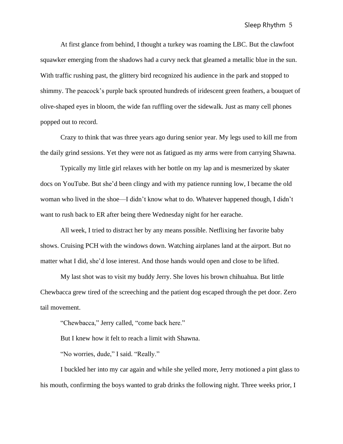At first glance from behind, I thought a turkey was roaming the LBC. But the clawfoot squawker emerging from the shadows had a curvy neck that gleamed a metallic blue in the sun. With traffic rushing past, the glittery bird recognized his audience in the park and stopped to shimmy. The peacock's purple back sprouted hundreds of iridescent green feathers, a bouquet of olive-shaped eyes in bloom, the wide fan ruffling over the sidewalk. Just as many cell phones popped out to record.

Crazy to think that was three years ago during senior year. My legs used to kill me from the daily grind sessions. Yet they were not as fatigued as my arms were from carrying Shawna.

Typically my little girl relaxes with her bottle on my lap and is mesmerized by skater docs on YouTube. But she'd been clingy and with my patience running low, I became the old woman who lived in the shoe—I didn't know what to do. Whatever happened though, I didn't want to rush back to ER after being there Wednesday night for her earache.

All week, I tried to distract her by any means possible. Netflixing her favorite baby shows. Cruising PCH with the windows down. Watching airplanes land at the airport. But no matter what I did, she'd lose interest. And those hands would open and close to be lifted.

My last shot was to visit my buddy Jerry. She loves his brown chihuahua. But little Chewbacca grew tired of the screeching and the patient dog escaped through the pet door. Zero tail movement.

"Chewbacca," Jerry called, "come back here."

But I knew how it felt to reach a limit with Shawna.

"No worries, dude," I said. "Really."

I buckled her into my car again and while she yelled more, Jerry motioned a pint glass to his mouth, confirming the boys wanted to grab drinks the following night. Three weeks prior, I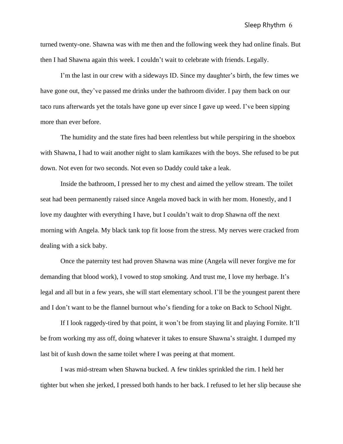turned twenty-one. Shawna was with me then and the following week they had online finals. But then I had Shawna again this week. I couldn't wait to celebrate with friends. Legally.

I'm the last in our crew with a sideways ID. Since my daughter's birth, the few times we have gone out, they've passed me drinks under the bathroom divider. I pay them back on our taco runs afterwards yet the totals have gone up ever since I gave up weed. I've been sipping more than ever before.

The humidity and the state fires had been relentless but while perspiring in the shoebox with Shawna, I had to wait another night to slam kamikazes with the boys. She refused to be put down. Not even for two seconds. Not even so Daddy could take a leak.

Inside the bathroom, I pressed her to my chest and aimed the yellow stream. The toilet seat had been permanently raised since Angela moved back in with her mom. Honestly, and I love my daughter with everything I have, but I couldn't wait to drop Shawna off the next morning with Angela. My black tank top fit loose from the stress. My nerves were cracked from dealing with a sick baby.

Once the paternity test had proven Shawna was mine (Angela will never forgive me for demanding that blood work), I vowed to stop smoking. And trust me, I love my herbage. It's legal and all but in a few years, she will start elementary school. I'll be the youngest parent there and I don't want to be the flannel burnout who's fiending for a toke on Back to School Night.

If I look raggedy-tired by that point, it won't be from staying lit and playing Fornite. It'll be from working my ass off, doing whatever it takes to ensure Shawna's straight. I dumped my last bit of kush down the same toilet where I was peeing at that moment.

I was mid-stream when Shawna bucked. A few tinkles sprinkled the rim. I held her tighter but when she jerked, I pressed both hands to her back. I refused to let her slip because she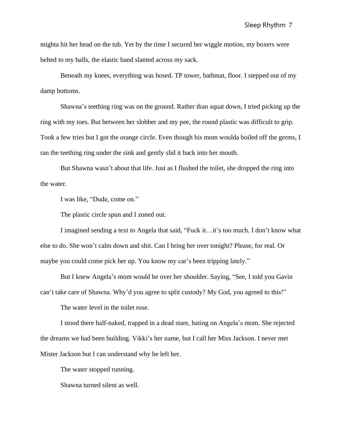mighta hit her head on the tub. Yet by the time I secured her wiggle motion, my boxers were belted to my balls, the elastic band slanted across my sack.

Beneath my knees, everything was hosed. TP tower, bathmat, floor. I stepped out of my damp bottoms.

Shawna's teething ring was on the ground. Rather than squat down, I tried picking up the ring with my toes. But between her slobber and my pee, the round plastic was difficult to grip. Took a few tries but I got the orange circle. Even though his mom woulda boiled off the germs, I ran the teething ring under the sink and gently slid it back into her mouth.

But Shawna wasn't about that life. Just as I flushed the toilet, she dropped the ring into the water.

I was like, "Dude, come on."

The plastic circle spun and I zoned out.

I imagined sending a text to Angela that said, "Fuck it…it's too much. I don't know what else to do. She won't calm down and shit. Can I bring her over tonight? Please, for real. Or maybe you could come pick her up. You know my car's been tripping lately."

But I knew Angela's mom would be over her shoulder. Saying, "See, I told you Gavin can't take care of Shawna. Why'd you agree to split custody? My God, you agreed to this!"

The water level in the toilet rose.

I stood there half-naked, trapped in a dead stare, hating on Angela's mom. She rejected the dreams we had been building. Vikki's her name, but I call her Miss Jackson. I never met Mister Jackson but I can understand why he left her.

The water stopped running.

Shawna turned silent as well.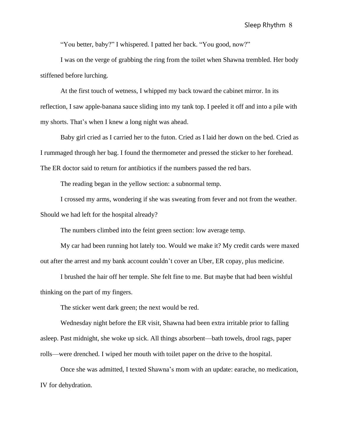"You better, baby?" I whispered. I patted her back. "You good, now?"

I was on the verge of grabbing the ring from the toilet when Shawna trembled. Her body stiffened before lurching.

At the first touch of wetness, I whipped my back toward the cabinet mirror. In its reflection, I saw apple-banana sauce sliding into my tank top. I peeled it off and into a pile with my shorts. That's when I knew a long night was ahead.

Baby girl cried as I carried her to the futon. Cried as I laid her down on the bed. Cried as I rummaged through her bag. I found the thermometer and pressed the sticker to her forehead. The ER doctor said to return for antibiotics if the numbers passed the red bars.

The reading began in the yellow section: a subnormal temp.

I crossed my arms, wondering if she was sweating from fever and not from the weather. Should we had left for the hospital already?

The numbers climbed into the feint green section: low average temp.

My car had been running hot lately too. Would we make it? My credit cards were maxed out after the arrest and my bank account couldn't cover an Uber, ER copay, plus medicine.

I brushed the hair off her temple. She felt fine to me. But maybe that had been wishful thinking on the part of my fingers.

The sticker went dark green; the next would be red.

Wednesday night before the ER visit, Shawna had been extra irritable prior to falling asleep. Past midnight, she woke up sick. All things absorbent—bath towels, drool rags, paper rolls—were drenched. I wiped her mouth with toilet paper on the drive to the hospital.

Once she was admitted, I texted Shawna's mom with an update: earache, no medication, IV for dehydration.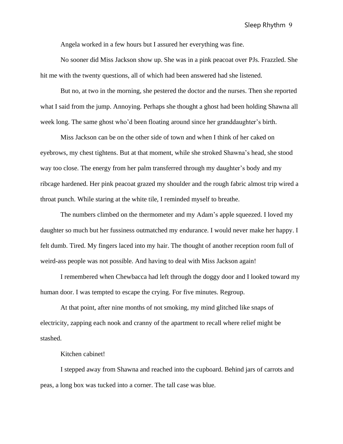Angela worked in a few hours but I assured her everything was fine.

No sooner did Miss Jackson show up. She was in a pink peacoat over PJs. Frazzled. She hit me with the twenty questions, all of which had been answered had she listened.

But no, at two in the morning, she pestered the doctor and the nurses. Then she reported what I said from the jump. Annoying. Perhaps she thought a ghost had been holding Shawna all week long. The same ghost who'd been floating around since her granddaughter's birth.

Miss Jackson can be on the other side of town and when I think of her caked on eyebrows, my chest tightens. But at that moment, while she stroked Shawna's head, she stood way too close. The energy from her palm transferred through my daughter's body and my ribcage hardened. Her pink peacoat grazed my shoulder and the rough fabric almost trip wired a throat punch. While staring at the white tile, I reminded myself to breathe.

The numbers climbed on the thermometer and my Adam's apple squeezed. I loved my daughter so much but her fussiness outmatched my endurance. I would never make her happy. I felt dumb. Tired. My fingers laced into my hair. The thought of another reception room full of weird-ass people was not possible. And having to deal with Miss Jackson again!

I remembered when Chewbacca had left through the doggy door and I looked toward my human door. I was tempted to escape the crying. For five minutes. Regroup.

At that point, after nine months of not smoking, my mind glitched like snaps of electricity, zapping each nook and cranny of the apartment to recall where relief might be stashed.

## Kitchen cabinet!

I stepped away from Shawna and reached into the cupboard. Behind jars of carrots and peas, a long box was tucked into a corner. The tall case was blue.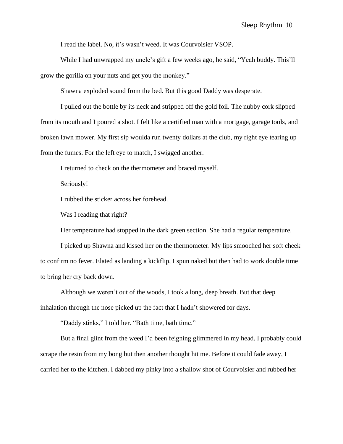I read the label. No, it's wasn't weed. It was Courvoisier VSOP.

While I had unwrapped my uncle's gift a few weeks ago, he said, "Yeah buddy. This'll grow the gorilla on your nuts and get you the monkey."

Shawna exploded sound from the bed. But this good Daddy was desperate.

I pulled out the bottle by its neck and stripped off the gold foil. The nubby cork slipped from its mouth and I poured a shot. I felt like a certified man with a mortgage, garage tools, and broken lawn mower. My first sip woulda run twenty dollars at the club, my right eye tearing up from the fumes. For the left eye to match, I swigged another.

I returned to check on the thermometer and braced myself.

Seriously!

I rubbed the sticker across her forehead.

Was I reading that right?

Her temperature had stopped in the dark green section. She had a regular temperature.

I picked up Shawna and kissed her on the thermometer. My lips smooched her soft cheek to confirm no fever. Elated as landing a kickflip, I spun naked but then had to work double time to bring her cry back down.

Although we weren't out of the woods, I took a long, deep breath. But that deep inhalation through the nose picked up the fact that I hadn't showered for days.

"Daddy stinks," I told her. "Bath time, bath time."

But a final glint from the weed I'd been feigning glimmered in my head. I probably could scrape the resin from my bong but then another thought hit me. Before it could fade away, I carried her to the kitchen. I dabbed my pinky into a shallow shot of Courvoisier and rubbed her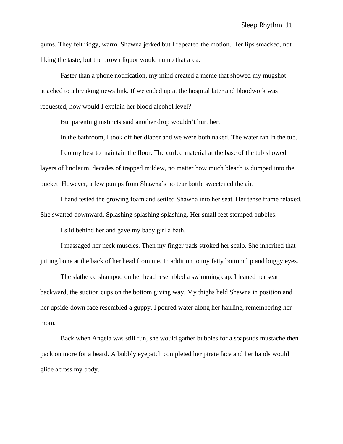gums. They felt ridgy, warm. Shawna jerked but I repeated the motion. Her lips smacked, not liking the taste, but the brown liquor would numb that area.

Faster than a phone notification, my mind created a meme that showed my mugshot attached to a breaking news link. If we ended up at the hospital later and bloodwork was requested, how would I explain her blood alcohol level?

But parenting instincts said another drop wouldn't hurt her.

In the bathroom, I took off her diaper and we were both naked. The water ran in the tub.

I do my best to maintain the floor. The curled material at the base of the tub showed layers of linoleum, decades of trapped mildew, no matter how much bleach is dumped into the bucket. However, a few pumps from Shawna's no tear bottle sweetened the air.

I hand tested the growing foam and settled Shawna into her seat. Her tense frame relaxed. She swatted downward. Splashing splashing splashing. Her small feet stomped bubbles.

I slid behind her and gave my baby girl a bath.

I massaged her neck muscles. Then my finger pads stroked her scalp. She inherited that jutting bone at the back of her head from me. In addition to my fatty bottom lip and buggy eyes.

The slathered shampoo on her head resembled a swimming cap. I leaned her seat backward, the suction cups on the bottom giving way. My thighs held Shawna in position and her upside-down face resembled a guppy. I poured water along her hairline, remembering her mom.

Back when Angela was still fun, she would gather bubbles for a soapsuds mustache then pack on more for a beard. A bubbly eyepatch completed her pirate face and her hands would glide across my body.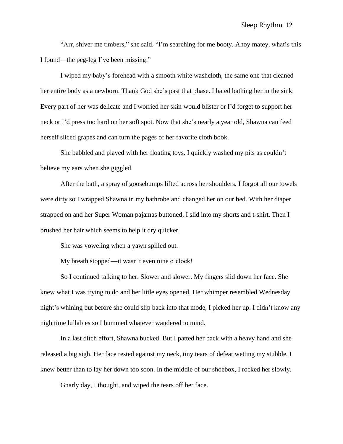"Arr, shiver me timbers," she said. "I'm searching for me booty. Ahoy matey, what's this I found—the peg-leg I've been missing."

I wiped my baby's forehead with a smooth white washcloth, the same one that cleaned her entire body as a newborn. Thank God she's past that phase. I hated bathing her in the sink. Every part of her was delicate and I worried her skin would blister or I'd forget to support her neck or I'd press too hard on her soft spot. Now that she's nearly a year old, Shawna can feed herself sliced grapes and can turn the pages of her favorite cloth book.

She babbled and played with her floating toys. I quickly washed my pits as couldn't believe my ears when she giggled.

After the bath, a spray of goosebumps lifted across her shoulders. I forgot all our towels were dirty so I wrapped Shawna in my bathrobe and changed her on our bed. With her diaper strapped on and her Super Woman pajamas buttoned, I slid into my shorts and t-shirt. Then I brushed her hair which seems to help it dry quicker.

She was voweling when a yawn spilled out.

My breath stopped—it wasn't even nine o'clock!

So I continued talking to her. Slower and slower. My fingers slid down her face. She knew what I was trying to do and her little eyes opened. Her whimper resembled Wednesday night's whining but before she could slip back into that mode, I picked her up. I didn't know any nighttime lullabies so I hummed whatever wandered to mind.

In a last ditch effort, Shawna bucked. But I patted her back with a heavy hand and she released a big sigh. Her face rested against my neck, tiny tears of defeat wetting my stubble. I knew better than to lay her down too soon. In the middle of our shoebox, I rocked her slowly.

Gnarly day, I thought, and wiped the tears off her face.